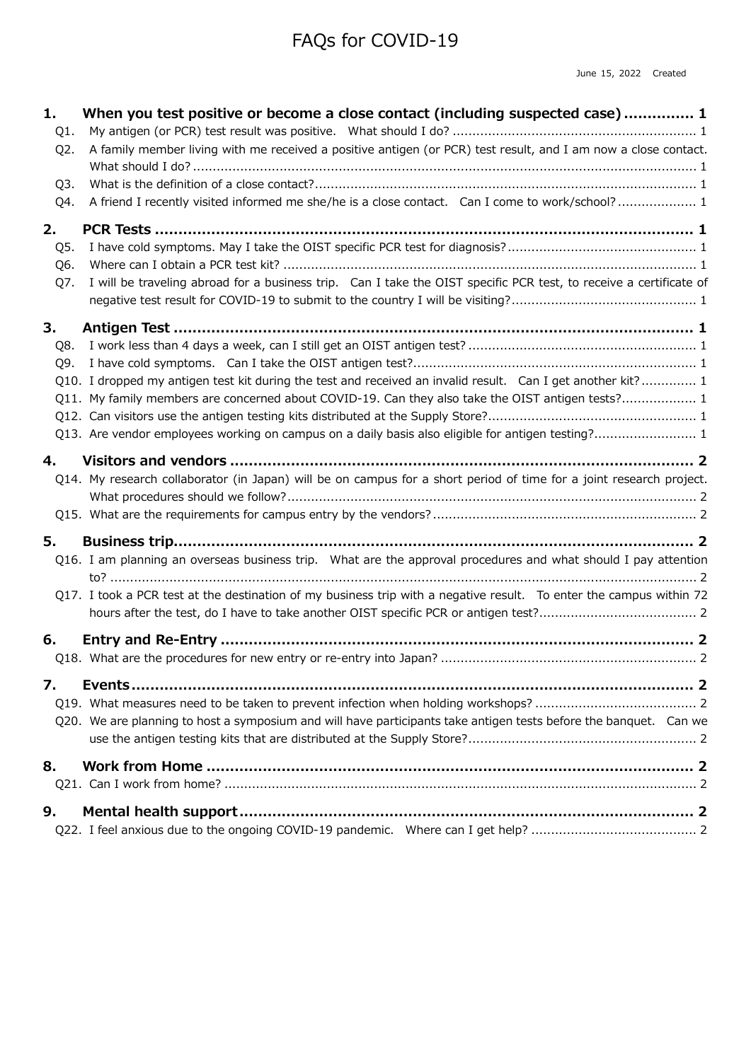# FAQs for COVID-19

| 1.<br>Q1.        | When you test positive or become a close contact (including suspected case)  1                                                                                                                                   |
|------------------|------------------------------------------------------------------------------------------------------------------------------------------------------------------------------------------------------------------|
| Q <sub>2</sub> . | A family member living with me received a positive antigen (or PCR) test result, and I am now a close contact.                                                                                                   |
| Q3.<br>Q4.       | A friend I recently visited informed me she/he is a close contact. Can I come to work/school? 1                                                                                                                  |
| 2.<br>Q5.        |                                                                                                                                                                                                                  |
| Q6.<br>Q7.       | I will be traveling abroad for a business trip. Can I take the OIST specific PCR test, to receive a certificate of                                                                                               |
| 3.               |                                                                                                                                                                                                                  |
| Q8.              |                                                                                                                                                                                                                  |
| Q9.              |                                                                                                                                                                                                                  |
|                  | Q10. I dropped my antigen test kit during the test and received an invalid result. Can I get another kit? 1<br>Q11. My family members are concerned about COVID-19. Can they also take the OIST antigen tests? 1 |
|                  | Q13. Are vendor employees working on campus on a daily basis also eligible for antigen testing? 1                                                                                                                |
| 4.               |                                                                                                                                                                                                                  |
|                  | Q14. My research collaborator (in Japan) will be on campus for a short period of time for a joint research project.                                                                                              |
|                  |                                                                                                                                                                                                                  |
| 5.               |                                                                                                                                                                                                                  |
|                  | Q16. I am planning an overseas business trip. What are the approval procedures and what should I pay attention                                                                                                   |
|                  | Q17. I took a PCR test at the destination of my business trip with a negative result. To enter the campus within 72                                                                                              |
| 6.               |                                                                                                                                                                                                                  |
| 7.               |                                                                                                                                                                                                                  |
|                  | Q20. We are planning to host a symposium and will have participants take antigen tests before the banquet. Can we                                                                                                |
| 8.               |                                                                                                                                                                                                                  |
| 9.               |                                                                                                                                                                                                                  |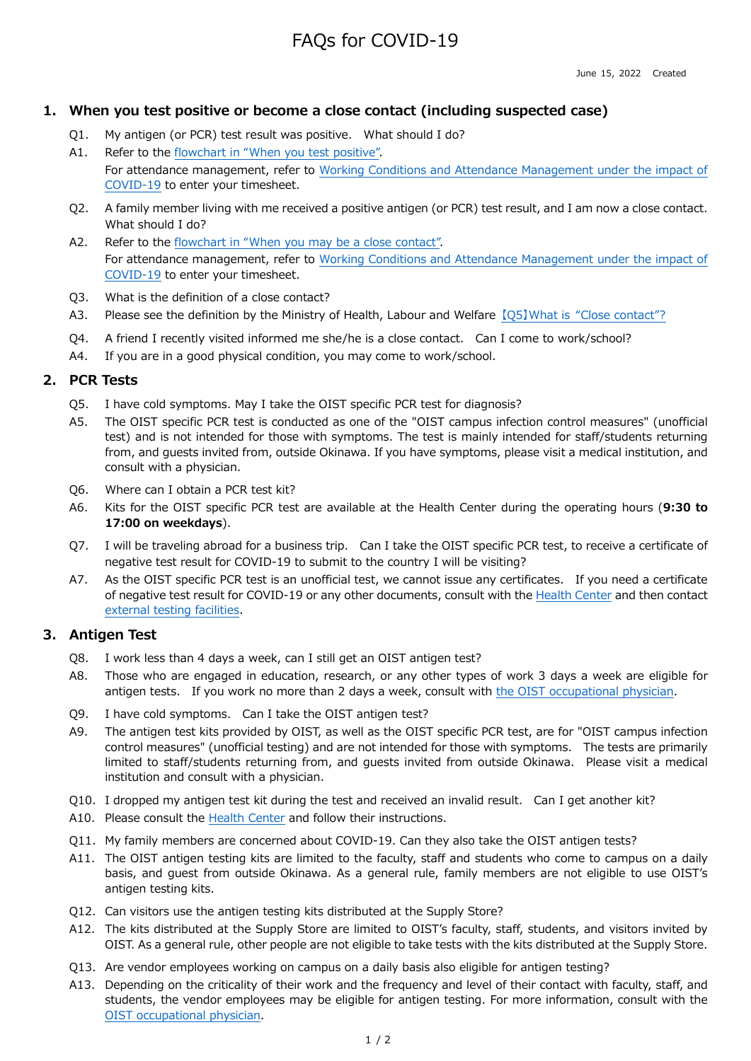## FAQs for COVID-19

### **1. When you test positive or become a close contact (including suspected case)**

- Q1. My antigen (or PCR) test result was positive. What should I do?
- A1. Refer to the flowchart in "When you test positive". For attendance management, refer to Working Conditions and Attendance Management under the impact of COVID-19 to enter your timesheet.
- Q2. A family member living with me received a positive antigen (or PCR) test result, and I am now a close contact. What should I do?
- A2. Refer to the flowchart in "When you may be a close contact". For attendance management, refer to Working Conditions and Attendance Management under the impact of COVID-19 to enter your timesheet.
- Q3. What is the definition of a close contact?
- A3. Please see the definition by the Ministry of Health, Labour and Welfare [O5] What is "Close contact"?
- Q4. A friend I recently visited informed me she/he is a close contact. Can I come to work/school?
- A4. If you are in a good physical condition, you may come to work/school.

#### **2. PCR Tests**

- Q5. I have cold symptoms. May I take the OIST specific PCR test for diagnosis?
- A5. The OIST specific PCR test is conducted as one of the "OIST campus infection control measures" (unofficial test) and is not intended for those with symptoms. The test is mainly intended for staff/students returning from, and guests invited from, outside Okinawa. If you have symptoms, please visit a medical institution, and consult with a physician.
- Q6. Where can I obtain a PCR test kit?
- A6. Kits for the OIST specific PCR test are available at the Health Center during the operating hours (**9:30 to 17:00 on weekdays**).
- Q7. I will be traveling abroad for a business trip. Can I take the OIST specific PCR test, to receive a certificate of negative test result for COVID-19 to submit to the country I will be visiting?
- A7. As the OIST specific PCR test is an unofficial test, we cannot issue any certificates. If you need a certificate of negative test result for COVID-19 or any other documents, consult with the Health Center and then contact external testing facilities.

#### **3. Antigen Test**

- Q8. I work less than 4 days a week, can I still get an OIST antigen test?
- A8. Those who are engaged in education, research, or any other types of work 3 days a week are eligible for antigen tests. If you work no more than 2 days a week, consult with the OIST occupational physician.
- Q9. I have cold symptoms. Can I take the OIST antigen test?
- A9. The antigen test kits provided by OIST, as well as the OIST specific PCR test, are for "OIST campus infection control measures" (unofficial testing) and are not intended for those with symptoms. The tests are primarily limited to staff/students returning from, and guests invited from outside Okinawa. Please visit a medical institution and consult with a physician.
- Q10. I dropped my antigen test kit during the test and received an invalid result. Can I get another kit?
- A10. Please consult the Health Center and follow their instructions.
- Q11. My family members are concerned about COVID-19. Can they also take the OIST antigen tests?
- A11. The OIST antigen testing kits are limited to the faculty, staff and students who come to campus on a daily basis, and guest from outside Okinawa. As a general rule, family members are not eligible to use OIST's antigen testing kits.
- Q12. Can visitors use the antigen testing kits distributed at the Supply Store?
- A12. The kits distributed at the Supply Store are limited to OIST's faculty, staff, students, and visitors invited by OIST. As a general rule, other people are not eligible to take tests with the kits distributed at the Supply Store.
- Q13. Are vendor employees working on campus on a daily basis also eligible for antigen testing?
- A13. Depending on the criticality of their work and the frequency and level of their contact with faculty, staff, and students, the vendor employees may be eligible for antigen testing. For more information, consult with the OIST occupational physician.